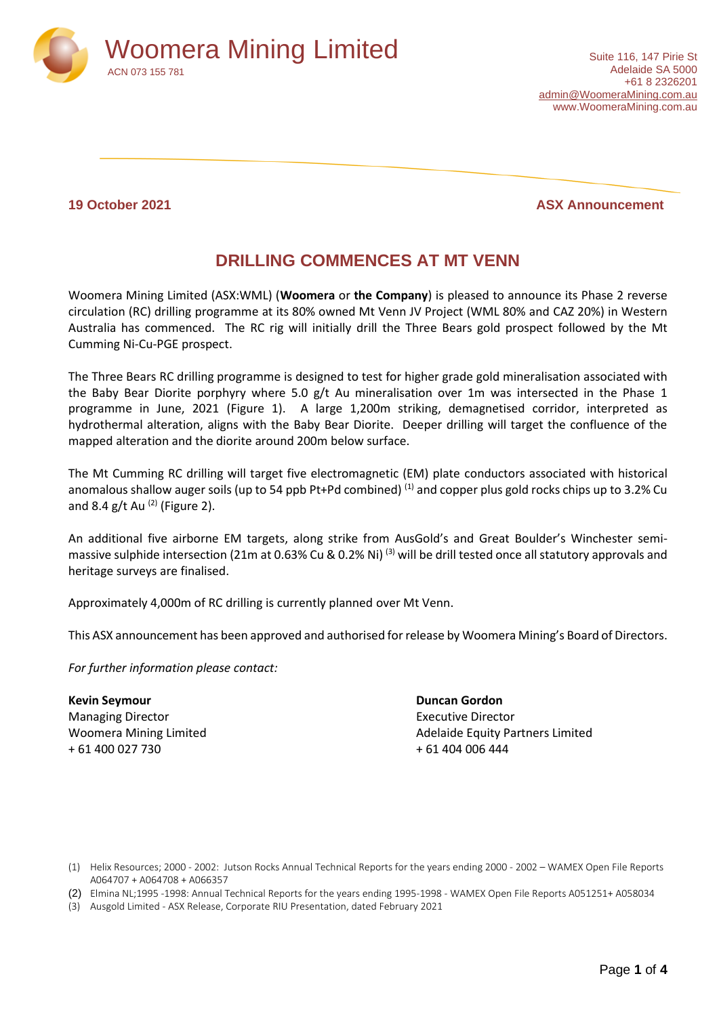

### **19 October 2021 ASX Announcement**

# **DRILLING COMMENCES AT MT VENN**

Woomera Mining Limited (ASX:WML) (**Woomera** or **the Company**) is pleased to announce its Phase 2 reverse circulation (RC) drilling programme at its 80% owned Mt Venn JV Project (WML 80% and CAZ 20%) in Western Australia has commenced. The RC rig will initially drill the Three Bears gold prospect followed by the Mt Cumming Ni-Cu-PGE prospect.

The Three Bears RC drilling programme is designed to test for higher grade gold mineralisation associated with the Baby Bear Diorite porphyry where 5.0 g/t Au mineralisation over 1m was intersected in the Phase 1 programme in June, 2021 (Figure 1). A large 1,200m striking, demagnetised corridor, interpreted as hydrothermal alteration, aligns with the Baby Bear Diorite. Deeper drilling will target the confluence of the mapped alteration and the diorite around 200m below surface.

The Mt Cumming RC drilling will target five electromagnetic (EM) plate conductors associated with historical anomalous shallow auger soils (up to 54 ppb Pt+Pd combined) <sup>(1)</sup> and copper plus gold rocks chips up to 3.2% Cu and 8.4 g/t Au  $(2)$  (Figure 2).

An additional five airborne EM targets, along strike from AusGold's and Great Boulder's Winchester semimassive sulphide intersection (21m at 0.63% Cu & 0.2% Ni)<sup>(3)</sup> will be drill tested once all statutory approvals and heritage surveys are finalised.

Approximately 4,000m of RC drilling is currently planned over Mt Venn.

This ASX announcement has been approved and authorised for release by Woomera Mining's Board of Directors.

*For further information please contact:*

**Kevin Seymour Duncan Gordon** Managing Director **Executive Director Executive Director** + 61 400 027 730 + 61 404 006 444

Woomera Mining Limited **Adelaide Equity Partners Limited** Adelaide Equity Partners Limited

(1) Helix Resources; 2000 - 2002: Jutson Rocks Annual Technical Reports for the years ending 2000 - 2002 – WAMEX Open File Reports A064707 + A064708 + A066357

(2) Elmina NL;1995 -1998: Annual Technical Reports for the years ending 1995-1998 - WAMEX Open File Reports A051251+ A058034

(3) Ausgold Limited - ASX Release, Corporate RIU Presentation, dated February 2021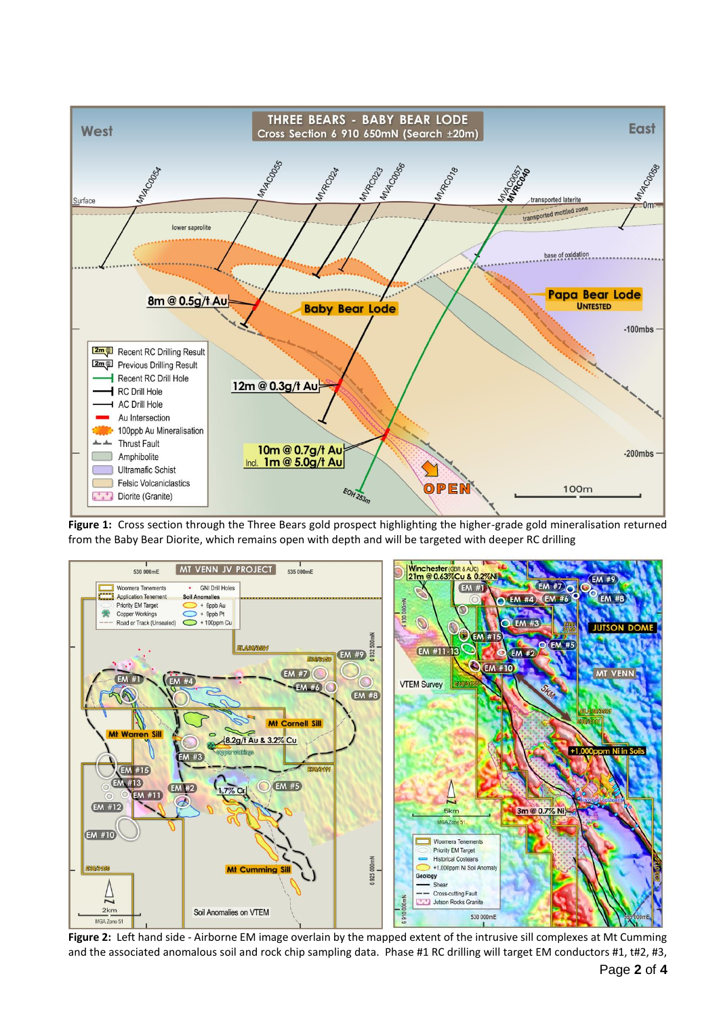

**Figure 1:** Cross section through the Three Bears gold prospect highlighting the higher-grade gold mineralisation returned from the Baby Bear Diorite, which remains open with depth and will be targeted with deeper RC drilling



**Figure 2:** Left hand side - Airborne EM image overlain by the mapped extent of the intrusive sill complexes at Mt Cumming and the associated anomalous soil and rock chip sampling data. Phase #1 RC drilling will target EM conductors #1, t#2, #3,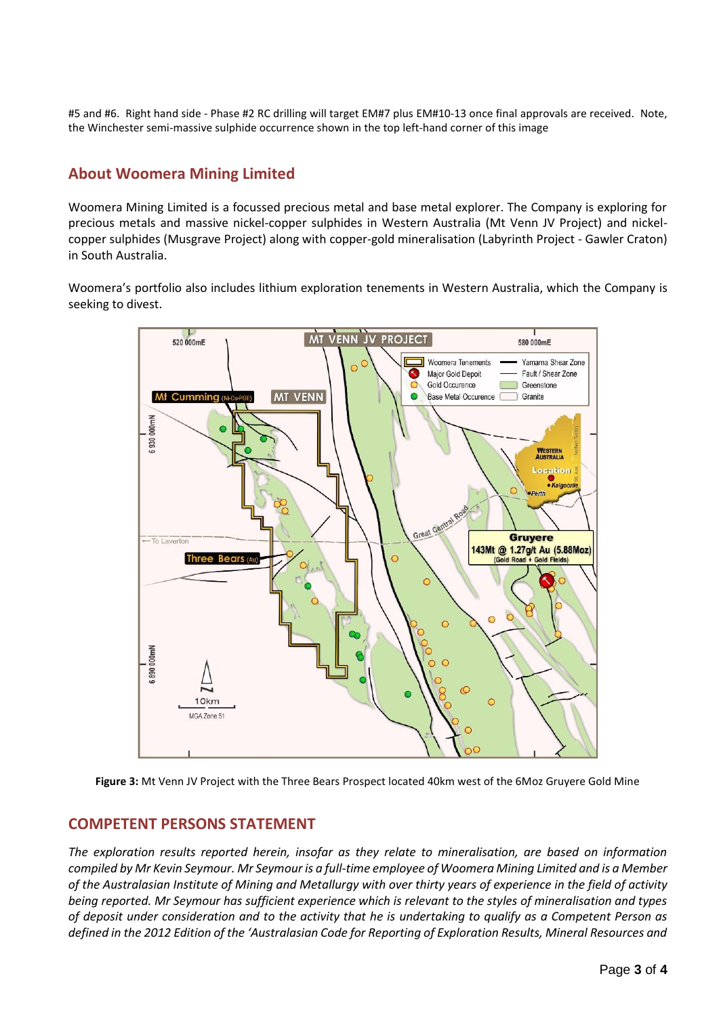#5 and #6. Right hand side - Phase #2 RC drilling will target EM#7 plus EM#10-13 once final approvals are received. Note, the Winchester semi-massive sulphide occurrence shown in the top left-hand corner of this image

## **About Woomera Mining Limited**

Woomera Mining Limited is a focussed precious metal and base metal explorer. The Company is exploring for precious metals and massive nickel-copper sulphides in Western Australia (Mt Venn JV Project) and nickelcopper sulphides (Musgrave Project) along with copper-gold mineralisation (Labyrinth Project - Gawler Craton) in South Australia.

Woomera's portfolio also includes lithium exploration tenements in Western Australia, which the Company is seeking to divest.



**Figure 3:** Mt Venn JV Project with the Three Bears Prospect located 40km west of the 6Moz Gruyere Gold Mine

## **COMPETENT PERSONS STATEMENT**

*The exploration results reported herein, insofar as they relate to mineralisation, are based on information compiled by Mr Kevin Seymour. Mr Seymour is a full-time employee of Woomera Mining Limited and is a Member of the Australasian Institute of Mining and Metallurgy with over thirty years of experience in the field of activity being reported. Mr Seymour has sufficient experience which is relevant to the styles of mineralisation and types of deposit under consideration and to the activity that he is undertaking to qualify as a Competent Person as defined in the 2012 Edition of the 'Australasian Code for Reporting of Exploration Results, Mineral Resources and*